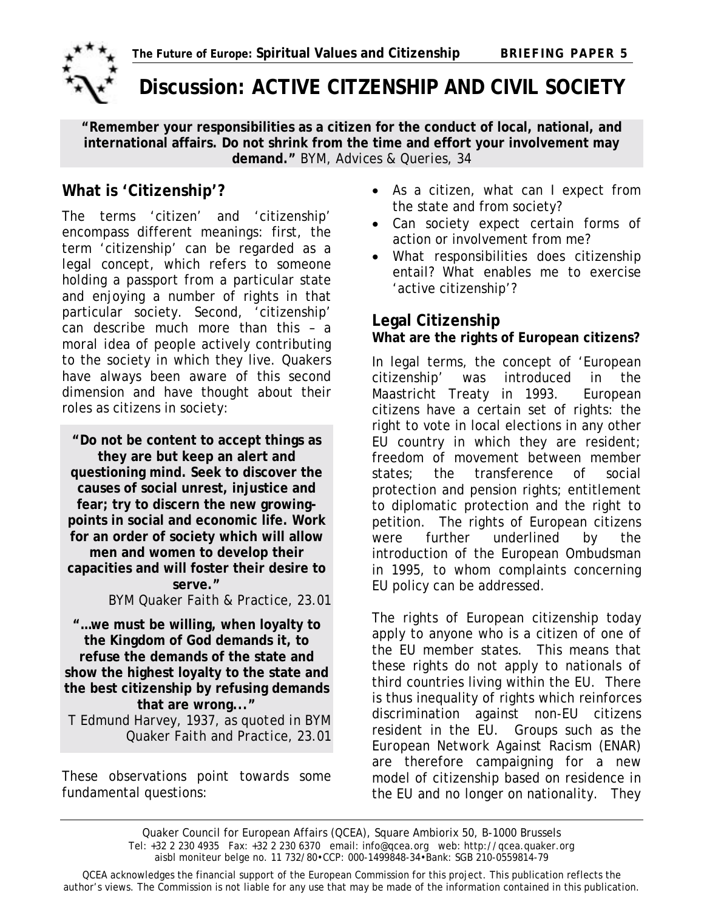

# **Discussion: ACTIVE CITZENSHIP AND CIVIL SOCIETY**

**"Remember your responsibilities as a citizen for the conduct of local, national, and international affairs. Do not shrink from the time and effort your involvement may demand."** *BYM, Advices & Queries*, 34

The terms 'citizen' and 'citizenship' encompass different meanings: first, the term 'citizenship' can be regarded as a *legal concept*, which refers to someone holding a passport from a particular state and enjoying a number of rights in that particular society. Second, 'citizenship' can describe much more than this - a *moral idea* of people actively contributing to the society in which they live. Quakers have always been aware of this second dimension and have thought about their roles as citizens in society:

**"Do not be content to accept things as they are but keep an alert and questioning mind. Seek to discover the causes of social unrest, injustice and fear; try to discern the new growingpoints in social and economic life. Work for an order of society which will allow men and women to develop their capacities and will foster their desire to serve."**  *BYM Quaker Faith & Practice*, 23.01

**"…we must be willing, when loyalty to the Kingdom of God demands it, to refuse the demands of the state and show the highest loyalty to the state and the best citizenship by refusing demands that are wrong..."** 

*T Edmund Harvey, 1937, as quoted in BYM Quaker Faith and Practice*, 23.01

These observations point towards some fundamental questions:

- **What is 'Citizenship'?** As a citizen, what can I expect from<br>the state and from society?
	- Can society *expect* certain forms of action or involvement from me?
	- What responsibilities does citizenship entail? What enables me to exercise 'active citizenship'?

## **Legal Citizenship**

### **What are the rights of European citizens?**

In legal terms, the concept of 'European citizenship' was introduced in the Maastricht Treaty in 1993. European citizens have a certain set of rights: the right to vote in local elections in any other EU country in which they are resident; freedom of movement between member states; the transference of social protection and pension rights; entitlement to diplomatic protection and the right to petition. The rights of European citizens were further underlined by the introduction of the European Ombudsman in 1995, to whom complaints concerning EU policy can be addressed.

The rights of European citizenship today apply to anyone who is a citizen of one of the EU member states. This means that these rights do not apply to nationals of third countries living within the EU. There is thus inequality of rights which reinforces discrimination against non-EU citizens resident in the EU. Groups such as the *European Network Against Racism* (ENAR) are therefore campaigning for a new model of citizenship based on residence in the EU and no longer on nationality. They

Quaker Council for European Affairs (QCEA), Square Ambiorix 50, B-1000 Brussels Tel: +32 2 230 4935 Fax: +32 2 230 6370 email: info@qcea.org web: http://qcea.quaker.org aisbl moniteur belge no. 11 732/80•CCP: 000-1499848-34•Bank: SGB 210-0559814-79

QCEA acknowledges the financial support of the European Commission for this project. This publication reflects the author's views. The Commission is not liable for any use that may be made of the information contained in this publication.